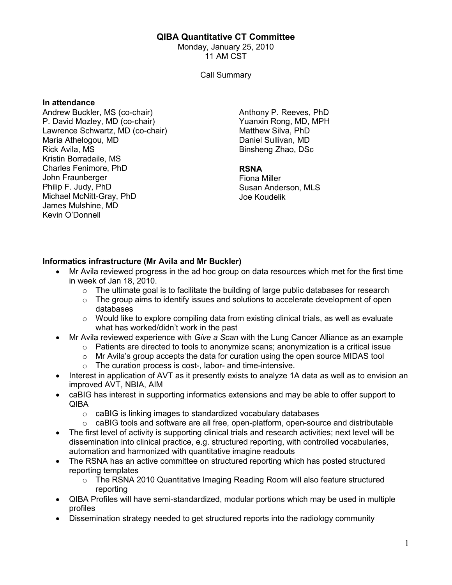# QIBA Quantitative CT Committee

Monday, January 25, 2010 11 AM CST

Call Summary

#### In attendance

Andrew Buckler, MS (co-chair) P. David Mozley, MD (co-chair) Lawrence Schwartz, MD (co-chair) Maria Athelogou, MD Rick Avila, MS Kristin Borradaile, MS Charles Fenimore, PhD John Fraunberger Philip F. Judy, PhD Michael McNitt-Gray, PhD James Mulshine, MD Kevin O'Donnell

Anthony P. Reeves, PhD Yuanxin Rong, MD, MPH Matthew Silva, PhD Daniel Sullivan, MD Binsheng Zhao, DSc

### RSNA

Fiona Miller Susan Anderson, MLS Joe Koudelik

### Informatics infrastructure (Mr Avila and Mr Buckler)

- Mr Avila reviewed progress in the ad hoc group on data resources which met for the first time in week of Jan 18, 2010.
	- $\circ$  The ultimate goal is to facilitate the building of large public databases for research
	- $\circ$  The group aims to identify issues and solutions to accelerate development of open databases
	- $\circ$  Would like to explore compiling data from existing clinical trials, as well as evaluate what has worked/didn't work in the past
- Mr Avila reviewed experience with Give a Scan with the Lung Cancer Alliance as an example
	- $\circ$  Patients are directed to tools to anonymize scans; anonymization is a critical issue
	- $\circ$  Mr Avila's group accepts the data for curation using the open source MIDAS tool
	- o The curation process is cost-, labor- and time-intensive.
- Interest in application of AVT as it presently exists to analyze 1A data as well as to envision an improved AVT, NBIA, AIM
- caBIG has interest in supporting informatics extensions and may be able to offer support to QIBA
	- o caBIG is linking images to standardized vocabulary databases
	- o caBIG tools and software are all free, open-platform, open-source and distributable
- The first level of activity is supporting clinical trials and research activities; next level will be dissemination into clinical practice, e.g. structured reporting, with controlled vocabularies, automation and harmonized with quantitative imagine readouts
- The RSNA has an active committee on structured reporting which has posted structured reporting templates
	- o The RSNA 2010 Quantitative Imaging Reading Room will also feature structured reporting
- QIBA Profiles will have semi-standardized, modular portions which may be used in multiple profiles
- Dissemination strategy needed to get structured reports into the radiology community